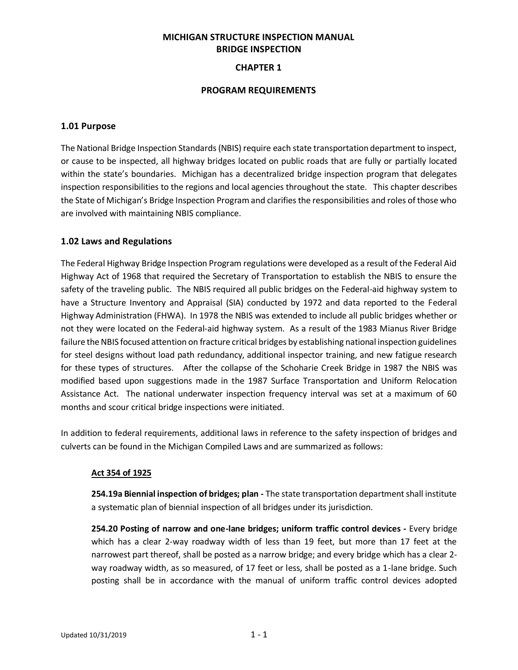# **MICHIGAN STRUCTURE INSPECTION MANUAL BRIDGE INSPECTION**

## **CHAPTER 1**

### **PROGRAM REQUIREMENTS**

### **1.01 Purpose**

The National Bridge Inspection Standards (NBIS) require each state transportation department to inspect, or cause to be inspected, all highway bridges located on public roads that are fully or partially located within the state's boundaries. Michigan has a decentralized bridge inspection program that delegates inspection responsibilities to the regions and local agencies throughout the state. This chapter describes the State of Michigan's Bridge Inspection Program and clarifies the responsibilities and roles of those who are involved with maintaining NBIS compliance.

## **1.02 Laws and Regulations**

The Federal Highway Bridge Inspection Program regulations were developed as a result of the Federal Aid Highway Act of 1968 that required the Secretary of Transportation to establish the NBIS to ensure the safety of the traveling public. The NBIS required all public bridges on the Federal-aid highway system to have a Structure Inventory and Appraisal (SIA) conducted by 1972 and data reported to the Federal Highway Administration (FHWA). In 1978 the NBIS was extended to include all public bridges whether or not they were located on the Federal-aid highway system. As a result of the 1983 Mianus River Bridge failure the NBIS focused attention on fracture critical bridges by establishing national inspection guidelines for steel designs without load path redundancy, additional inspector training, and new fatigue research for these types of structures. After the collapse of the Schoharie Creek Bridge in 1987 the NBIS was modified based upon suggestions made in the 1987 Surface Transportation and Uniform Relocation Assistance Act. The national underwater inspection frequency interval was set at a maximum of 60 months and scour critical bridge inspections were initiated.

In addition to federal requirements, additional laws in reference to the safety inspection of bridges and culverts can be found in the Michigan Compiled Laws and are summarized as follows:

## **Act 354 of 1925**

**254.19a Biennial inspection of bridges; plan -** The state transportation department shall institute a systematic plan of biennial inspection of all bridges under its jurisdiction.

**254.20 Posting of narrow and one-lane bridges; uniform traffic control devices -** Every bridge which has a clear 2-way roadway width of less than 19 feet, but more than 17 feet at the narrowest part thereof, shall be posted as a narrow bridge; and every bridge which has a clear 2 way roadway width, as so measured, of 17 feet or less, shall be posted as a 1-lane bridge. Such posting shall be in accordance with the manual of uniform traffic control devices adopted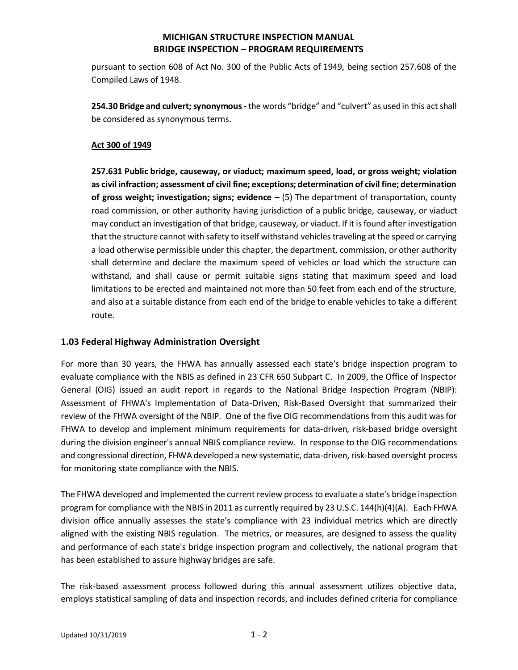pursuant to section 608 of Act No. 300 of the Public Acts of 1949, being section 257.608 of the Compiled Laws of 1948.

**254.30 Bridge and culvert; synonymous -** the words "bridge" and "culvert" as used in this act shall be considered as synonymous terms.

## **Act 300 of 1949**

**257.631 Public [bridge,](http://www.legislature.mi.gov/(S(gigcgc550spiopmruaswsrrx))/mileg.aspx?page=getobject&objectname=mcl-257-631&query=on&highlight=Bridge#2) causeway, or viaduct; maximum speed, load, or gross weight; violation as civil infraction; assessment of civil fine; exceptions; determination of civil fine; determination of gross weight; investigation; signs; evidence –** (5) The department of transportation, county road commission, or other authority having jurisdiction of a public [bridge,](http://www.legislature.mi.gov/(S(gigcgc550spiopmruaswsrrx))/mileg.aspx?page=getobject&objectname=mcl-257-631&query=on&highlight=Bridge#7) causeway, or viaduct may conduct an investigation of that [bridge,](http://www.legislature.mi.gov/(S(gigcgc550spiopmruaswsrrx))/mileg.aspx?page=getobject&objectname=mcl-257-631&query=on&highlight=Bridge#8) causeway, or viaduct. If it is found after investigation that the structure cannot with safety to itself withstand vehicles traveling at the speed or carrying a load otherwise permissible under this chapter, the department, commission, or other authority shall determine and declare the maximum speed of vehicles or load which the structure can withstand, and shall cause or permit suitable signs stating that maximum speed and load limitations to be erected and maintained not more than 50 feet from each end of the structure, and also at a suitable distance from each end of the [bridge](http://www.legislature.mi.gov/(S(gigcgc550spiopmruaswsrrx))/mileg.aspx?page=getobject&objectname=mcl-257-631&query=on&highlight=Bridge#9) to enable vehicles to take a different route.

## **1.03 Federal Highway Administration Oversight**

For more than 30 years, the FHWA has annually assessed each state's bridge inspection program to evaluate compliance with the NBIS as defined in 23 CFR 650 Subpart C. In 2009, the Office of Inspector General (OIG) issued an audit report in regards to the National Bridge Inspection Program (NBIP): Assessment of FHWA's Implementation of Data-Driven, Risk-Based Oversight that summarized their review of the FHWA oversight of the NBIP. One of the five OIG recommendations from this audit was for FHWA to develop and implement minimum requirements for data-driven, risk-based bridge oversight during the division engineer's annual NBIS compliance review. In response to the OIG recommendations and congressional direction, FHWA developed a new systematic, data-driven, risk-based oversight process for monitoring state compliance with the NBIS.

The FHWA developed and implemented the current review process to evaluate a state's bridge inspection program for compliance with the NBIS in 2011 as currently required by 23 U.S.C. 144(h)(4)(A). Each FHWA division office annually assesses the state's compliance with 23 individual metrics which are directly aligned with the existing NBIS regulation. The metrics, or measures, are designed to assess the quality and performance of each state's bridge inspection program and collectively, the national program that has been established to assure highway bridges are safe.

The risk-based assessment process followed during this annual assessment utilizes objective data, employs statistical sampling of data and inspection records, and includes defined criteria for compliance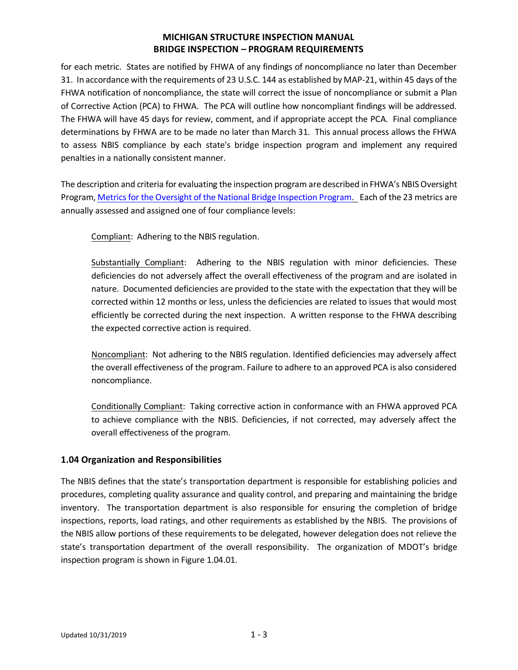for each metric. States are notified by FHWA of any findings of noncompliance no later than December 31. In accordance with the requirements of 23 U.S.C. 144 as established by MAP-21, within 45 days of the FHWA notification of noncompliance, the state will correct the issue of noncompliance or submit a Plan of Corrective Action (PCA) to FHWA. The PCA will outline how noncompliant findings will be addressed. The FHWA will have 45 days for review, comment, and if appropriate accept the PCA. Final compliance determinations by FHWA are to be made no later than March 31. This annual process allows the FHWA to assess NBIS compliance by each state's bridge inspection program and implement any required penalties in a nationally consistent manner.

The description and criteria for evaluating the inspection program are described in FHWA's NBIS Oversight Program[, Metrics for the Oversight of the National Bridge Inspection Program.](http://www.fhwa.dot.gov/bridge/nbip/metrics.pdf) Each of the 23 metrics are annually assessed and assigned one of four compliance levels:

Compliant: Adhering to the NBIS regulation.

Substantially Compliant: Adhering to the NBIS regulation with minor deficiencies. These deficiencies do not adversely affect the overall effectiveness of the program and are isolated in nature. Documented deficiencies are provided to the state with the expectation that they will be corrected within 12 months or less, unless the deficiencies are related to issues that would most efficiently be corrected during the next inspection. A written response to the FHWA describing the expected corrective action is required.

Noncompliant: Not adhering to the NBIS regulation. Identified deficiencies may adversely affect the overall effectiveness of the program. Failure to adhere to an approved PCA is also considered noncompliance.

Conditionally Compliant: Taking corrective action in conformance with an FHWA approved PCA to achieve compliance with the NBIS. Deficiencies, if not corrected, may adversely affect the overall effectiveness of the program.

## **1.04 Organization and Responsibilities**

The NBIS defines that the state's transportation department is responsible for establishing policies and procedures, completing quality assurance and quality control, and preparing and maintaining the bridge inventory. The transportation department is also responsible for ensuring the completion of bridge inspections, reports, load ratings, and other requirements as established by the NBIS. The provisions of the NBIS allow portions of these requirements to be delegated, however delegation does not relieve the state's transportation department of the overall responsibility. The organization of MDOT's bridge inspection program is shown in Figure 1.04.01.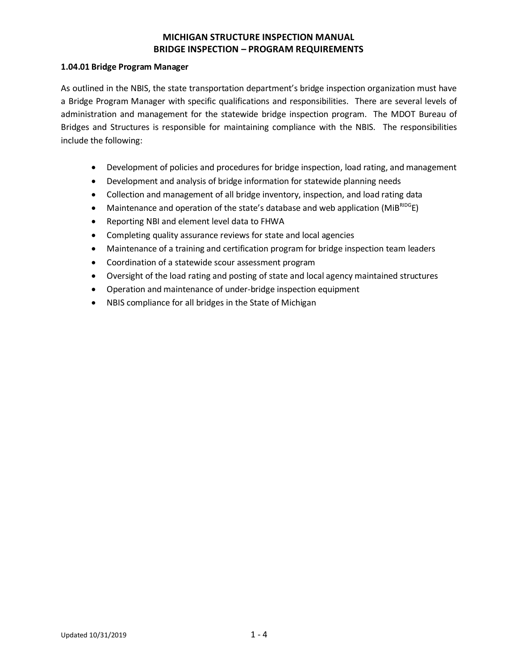### **1.04.01 Bridge Program Manager**

As outlined in the NBIS, the state transportation department's bridge inspection organization must have a Bridge Program Manager with specific qualifications and responsibilities. There are several levels of administration and management for the statewide bridge inspection program. The MDOT Bureau of Bridges and Structures is responsible for maintaining compliance with the NBIS. The responsibilities include the following:

- Development of policies and procedures for bridge inspection, load rating, and management
- Development and analysis of bridge information for statewide planning needs
- Collection and management of all bridge inventory, inspection, and load rating data
- Maintenance and operation of the state's database and web application ( $MIB^{RIDGE}$ E)
- Reporting NBI and element level data to FHWA
- Completing quality assurance reviews for state and local agencies
- Maintenance of a training and certification program for bridge inspection team leaders
- Coordination of a statewide scour assessment program
- Oversight of the load rating and posting of state and local agency maintained structures
- Operation and maintenance of under-bridge inspection equipment
- NBIS compliance for all bridges in the State of Michigan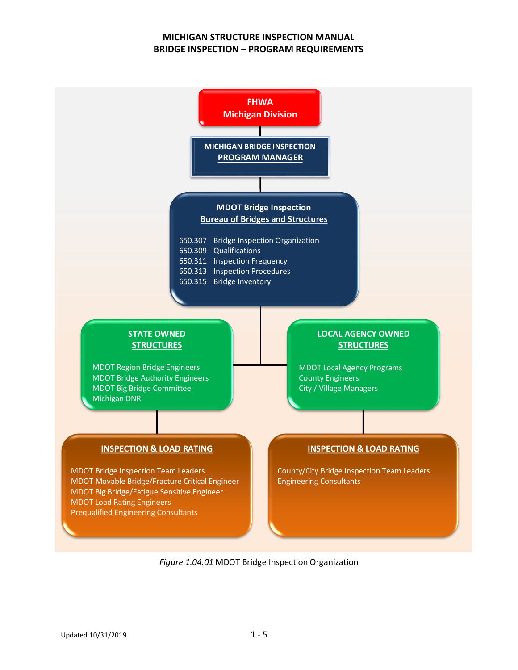

*Figure 1.04.01* MDOT Bridge Inspection Organization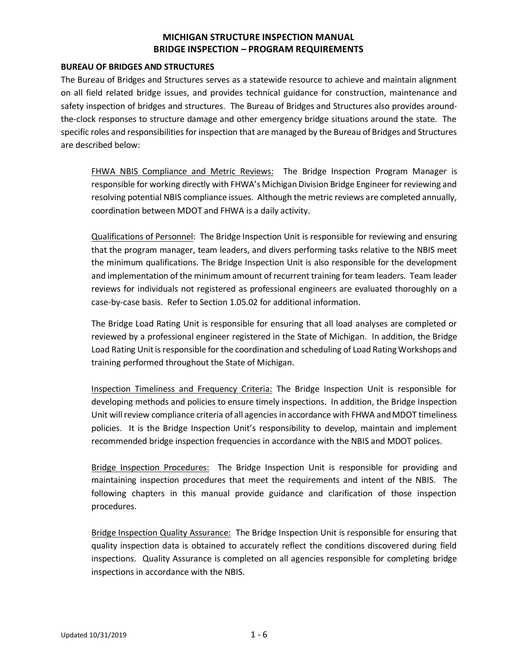### **BUREAU OF BRIDGES AND STRUCTURES**

The Bureau of Bridges and Structures serves as a statewide resource to achieve and maintain alignment on all field related bridge issues, and provides technical guidance for construction, maintenance and safety inspection of bridges and structures. The Bureau of Bridges and Structures also provides aroundthe-clock responses to structure damage and other emergency bridge situations around the state. The specific roles and responsibilities for inspection that are managed by the Bureau of Bridges and Structures are described below:

FHWA NBIS Compliance and Metric Reviews: The Bridge Inspection Program Manager is responsible for working directly with FHWA's Michigan Division Bridge Engineer for reviewing and resolving potential NBIS compliance issues. Although the metric reviews are completed annually, coordination between MDOT and FHWA is a daily activity.

Qualifications of Personnel: The Bridge Inspection Unit is responsible for reviewing and ensuring that the program manager, team leaders, and divers performing tasks relative to the NBIS meet the minimum qualifications. The Bridge Inspection Unit is also responsible for the development and implementation of the minimum amount of recurrent training for team leaders. Team leader reviews for individuals not registered as professional engineers are evaluated thoroughly on a case-by-case basis. Refer to Section 1.05.02 for additional information.

The Bridge Load Rating Unit is responsible for ensuring that all load analyses are completed or reviewed by a professional engineer registered in the State of Michigan. In addition, the Bridge Load Rating Unit is responsible for the coordination and scheduling of Load Rating Workshops and training performed throughout the State of Michigan.

Inspection Timeliness and Frequency Criteria: The Bridge Inspection Unit is responsible for developing methods and policies to ensure timely inspections. In addition, the Bridge Inspection Unit will review compliance criteria of all agencies in accordance with FHWA and MDOT timeliness policies. It is the Bridge Inspection Unit's responsibility to develop, maintain and implement recommended bridge inspection frequencies in accordance with the NBIS and MDOT polices.

Bridge Inspection Procedures: The Bridge Inspection Unit is responsible for providing and maintaining inspection procedures that meet the requirements and intent of the NBIS. The following chapters in this manual provide guidance and clarification of those inspection procedures.

Bridge Inspection Quality Assurance: The Bridge Inspection Unit is responsible for ensuring that quality inspection data is obtained to accurately reflect the conditions discovered during field inspections. Quality Assurance is completed on all agencies responsible for completing bridge inspections in accordance with the NBIS.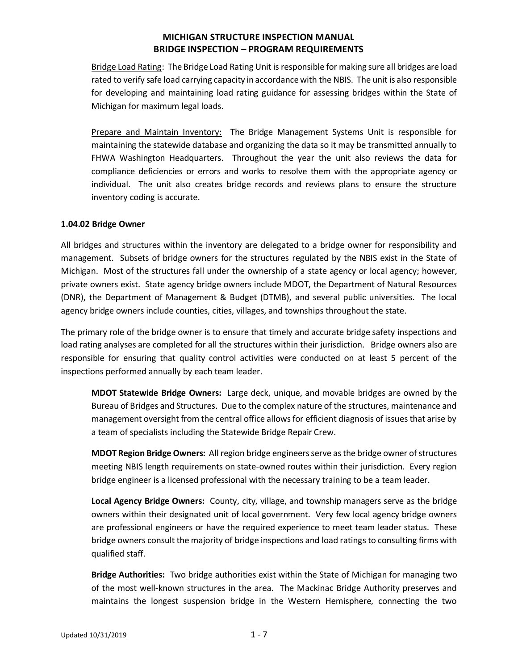Bridge Load Rating: The Bridge Load Rating Unit is responsible for making sure all bridges are load rated to verify safe load carrying capacity in accordance with the NBIS. The unit is also responsible for developing and maintaining load rating guidance for assessing bridges within the State of Michigan for maximum legal loads.

Prepare and Maintain Inventory:The Bridge Management Systems Unit is responsible for maintaining the statewide database and organizing the data so it may be transmitted annually to FHWA Washington Headquarters. Throughout the year the unit also reviews the data for compliance deficiencies or errors and works to resolve them with the appropriate agency or individual. The unit also creates bridge records and reviews plans to ensure the structure inventory coding is accurate.

### **1.04.02 Bridge Owner**

All bridges and structures within the inventory are delegated to a bridge owner for responsibility and management. Subsets of bridge owners for the structures regulated by the NBIS exist in the State of Michigan. Most of the structures fall under the ownership of a state agency or local agency; however, private owners exist. State agency bridge owners include MDOT, the Department of Natural Resources (DNR), the Department of Management & Budget (DTMB), and several public universities. The local agency bridge owners include counties, cities, villages, and townships throughout the state.

The primary role of the bridge owner is to ensure that timely and accurate bridge safety inspections and load rating analyses are completed for all the structures within their jurisdiction. Bridge owners also are responsible for ensuring that quality control activities were conducted on at least 5 percent of the inspections performed annually by each team leader.

**MDOT Statewide Bridge Owners:** Large deck, unique, and movable bridges are owned by the Bureau of Bridges and Structures. Due to the complex nature of the structures, maintenance and management oversight from the central office allows for efficient diagnosis of issues that arise by a team of specialists including the Statewide Bridge Repair Crew.

**MDOT Region Bridge Owners:** All region bridge engineers serve as the bridge owner of structures meeting NBIS length requirements on state-owned routes within their jurisdiction. Every region bridge engineer is a licensed professional with the necessary training to be a team leader.

**Local Agency Bridge Owners:** County, city, village, and township managers serve as the bridge owners within their designated unit of local government. Very few local agency bridge owners are professional engineers or have the required experience to meet team leader status. These bridge owners consult the majority of bridge inspections and load ratingsto consulting firms with qualified staff.

**Bridge Authorities:** Two bridge authorities exist within the State of Michigan for managing two of the most well-known structures in the area. The Mackinac Bridge Authority preserves and maintains the longest suspension bridge in the Western Hemisphere, connecting the two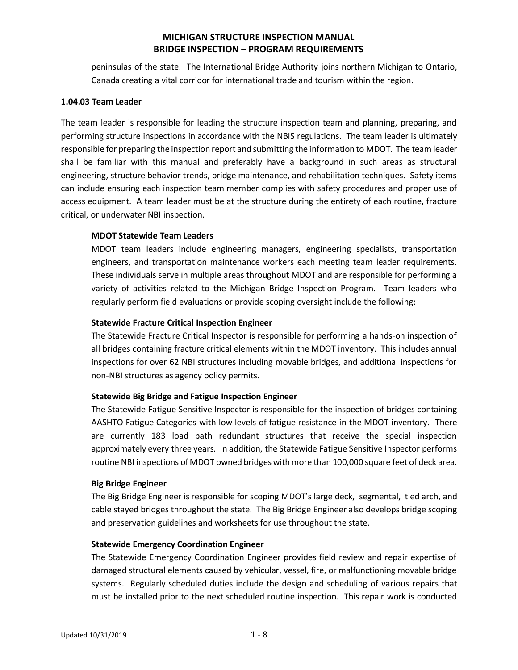peninsulas of the state. The International Bridge Authority joins northern Michigan to Ontario, Canada creating a vital corridor for international trade and tourism within the region.

#### **1.04.03 Team Leader**

The team leader is responsible for leading the structure inspection team and planning, preparing, and performing structure inspections in accordance with the NBIS regulations. The team leader is ultimately responsible for preparing the inspection report and submitting the information to MDOT. The team leader shall be familiar with this manual and preferably have a background in such areas as structural engineering, structure behavior trends, bridge maintenance, and rehabilitation techniques. Safety items can include ensuring each inspection team member complies with safety procedures and proper use of access equipment. A team leader must be at the structure during the entirety of each routine, fracture critical, or underwater NBI inspection.

### **MDOT Statewide Team Leaders**

MDOT team leaders include engineering managers, engineering specialists, transportation engineers, and transportation maintenance workers each meeting team leader requirements. These individuals serve in multiple areas throughout MDOT and are responsible for performing a variety of activities related to the Michigan Bridge Inspection Program. Team leaders who regularly perform field evaluations or provide scoping oversight include the following:

### **Statewide Fracture Critical Inspection Engineer**

The Statewide Fracture Critical Inspector is responsible for performing a hands-on inspection of all bridges containing fracture critical elements within the MDOT inventory. This includes annual inspections for over 62 NBI structures including movable bridges, and additional inspections for non-NBI structures as agency policy permits.

## **Statewide Big Bridge and Fatigue Inspection Engineer**

The Statewide Fatigue Sensitive Inspector is responsible for the inspection of bridges containing AASHTO Fatigue Categories with low levels of fatigue resistance in the MDOT inventory. There are currently 183 load path redundant structures that receive the special inspection approximately every three years. In addition, the Statewide Fatigue Sensitive Inspector performs routine NBI inspections of MDOT owned bridges with more than 100,000 square feet of deck area.

#### **Big Bridge Engineer**

The Big Bridge Engineer is responsible for scoping MDOT's large deck, segmental, tied arch, and cable stayed bridges throughout the state. The Big Bridge Engineer also develops bridge scoping and preservation guidelines and worksheets for use throughout the state.

#### **Statewide Emergency Coordination Engineer**

The Statewide Emergency Coordination Engineer provides field review and repair expertise of damaged structural elements caused by vehicular, vessel, fire, or malfunctioning movable bridge systems. Regularly scheduled duties include the design and scheduling of various repairs that must be installed prior to the next scheduled routine inspection. This repair work is conducted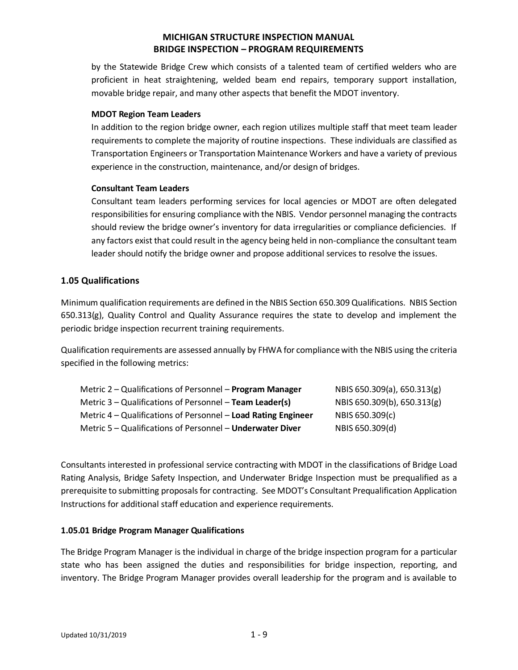by the Statewide Bridge Crew which consists of a talented team of certified welders who are proficient in heat straightening, welded beam end repairs, temporary support installation, movable bridge repair, and many other aspects that benefit the MDOT inventory.

## **MDOT Region Team Leaders**

In addition to the region bridge owner, each region utilizes multiple staff that meet team leader requirements to complete the majority of routine inspections. These individuals are classified as Transportation Engineers or Transportation Maintenance Workers and have a variety of previous experience in the construction, maintenance, and/or design of bridges.

## **Consultant Team Leaders**

Consultant team leaders performing services for local agencies or MDOT are often delegated responsibilities for ensuring compliance with the NBIS. Vendor personnel managing the contracts should review the bridge owner's inventory for data irregularities or compliance deficiencies. If any factors exist that could result in the agency being held in non-compliance the consultant team leader should notify the bridge owner and propose additional services to resolve the issues.

## **1.05 Qualifications**

Minimum qualification requirements are defined in the NBIS Section 650.309 Qualifications. NBIS Section 650.313(g), Quality Control and Quality Assurance requires the state to develop and implement the periodic bridge inspection recurrent training requirements.

Qualification requirements are assessed annually by FHWA for compliance with the NBIS using the criteria specified in the following metrics:

| Metric 2 – Qualifications of Personnel – Program Manager      | NBIS 650.309(a), 650.313(g) |
|---------------------------------------------------------------|-----------------------------|
| Metric $3 -$ Qualifications of Personnel $-$ Team Leader(s)   | NBIS 650.309(b), 650.313(g) |
| Metric 4 – Qualifications of Personnel – Load Rating Engineer | NBIS 650.309(c)             |
| Metric 5 – Qualifications of Personnel – Underwater Diver     | NBIS 650.309(d)             |

Consultants interested in professional service contracting with MDOT in the classifications of Bridge Load Rating Analysis, Bridge Safety Inspection, and Underwater Bridge Inspection must be prequalified as a prerequisite to submitting proposals for contracting. See MDOT's Consultant Prequalification Application Instructions for additional staff education and experience requirements.

## **1.05.01 Bridge Program Manager Qualifications**

The Bridge Program Manager is the individual in charge of the bridge inspection program for a particular state who has been assigned the duties and responsibilities for bridge inspection, reporting, and inventory. The Bridge Program Manager provides overall leadership for the program and is available to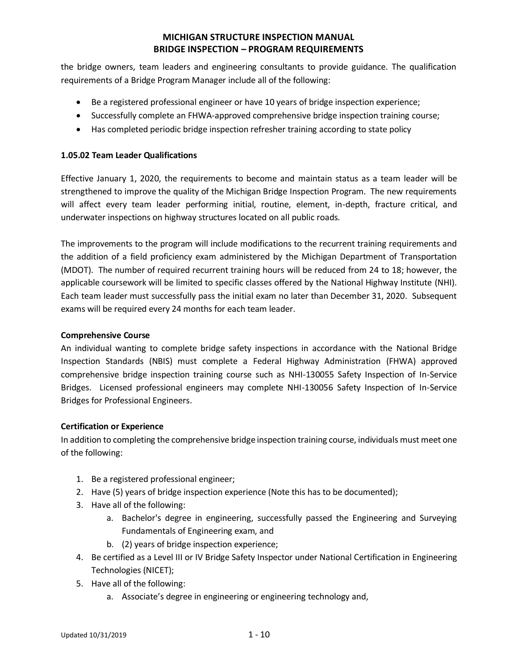the bridge owners, team leaders and engineering consultants to provide guidance. The qualification requirements of a Bridge Program Manager include all of the following:

- Be a registered professional engineer or have 10 years of bridge inspection experience;
- Successfully complete an FHWA-approved comprehensive bridge inspection training course;
- Has completed periodic bridge inspection refresher training according to state policy

## **1.05.02 Team Leader Qualifications**

Effective January 1, 2020, the requirements to become and maintain status as a team leader will be strengthened to improve the quality of the Michigan Bridge Inspection Program. The new requirements will affect every team leader performing initial, routine, element, in-depth, fracture critical, and underwater inspections on highway structures located on all public roads.

The improvements to the program will include modifications to the recurrent training requirements and the addition of a field proficiency exam administered by the Michigan Department of Transportation (MDOT). The number of required recurrent training hours will be reduced from 24 to 18; however, the applicable coursework will be limited to specific classes offered by the National Highway Institute (NHI). Each team leader must successfully pass the initial exam no later than December 31, 2020. Subsequent exams will be required every 24 months for each team leader.

### **Comprehensive Course**

An individual wanting to complete bridge safety inspections in accordance with the National Bridge Inspection Standards (NBIS) must complete a Federal Highway Administration (FHWA) approved comprehensive bridge inspection training course such as NHI-130055 Safety Inspection of In-Service Bridges. Licensed professional engineers may complete NHI-130056 Safety Inspection of In-Service Bridges for Professional Engineers.

## **Certification or Experience**

In addition to completing the comprehensive bridge inspection training course, individuals must meet one of the following:

- 1. Be a registered professional engineer;
- 2. Have (5) years of bridge inspection experience (Note this has to be documented);
- 3. Have all of the following:
	- a. Bachelor's degree in engineering, successfully passed the Engineering and Surveying Fundamentals of Engineering exam, and
	- b. (2) years of bridge inspection experience;
- 4. Be certified as a Level III or IV Bridge Safety Inspector under National Certification in Engineering Technologies (NICET);
- 5. Have all of the following:
	- a. Associate's degree in engineering or engineering technology and,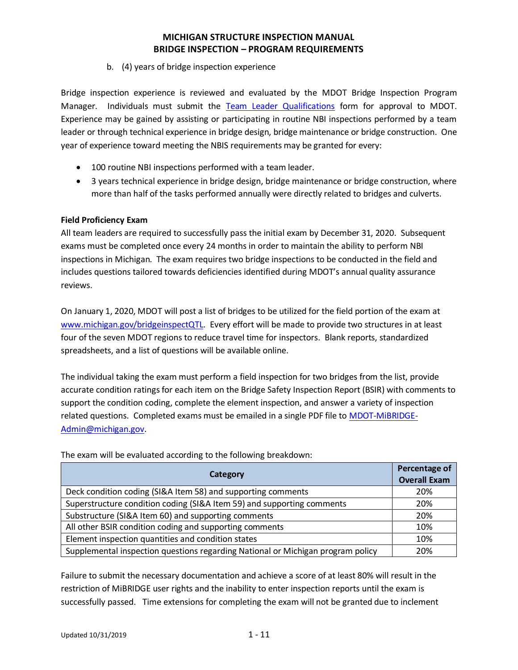## b. (4) years of bridge inspection experience

Bridge inspection experience is reviewed and evaluated by the MDOT Bridge Inspection Program Manager. Individuals must submit the [Team Leader Qualifications](https://www.michigan.gov/documents/mdot/Team_Leader_Qualifications_670131_7.pdf) form for approval to MDOT. Experience may be gained by assisting or participating in routine NBI inspections performed by a team leader or through technical experience in bridge design, bridge maintenance or bridge construction. One year of experience toward meeting the NBIS requirements may be granted for every:

- 100 routine NBI inspections performed with a team leader.
- 3 years technical experience in bridge design, bridge maintenance or bridge construction, where more than half of the tasks performed annually were directly related to bridges and culverts.

## **Field Proficiency Exam**

All team leaders are required to successfully pass the initial exam by December 31, 2020. Subsequent exams must be completed once every 24 months in order to maintain the ability to perform NBI inspections in Michigan. The exam requires two bridge inspections to be conducted in the field and includes questions tailored towards deficiencies identified during MDOT's annual quality assurance reviews.

On January 1, 2020, MDOT will post a list of bridges to be utilized for the field portion of the exam at [www.michigan.gov/bridgeinspectQTL.](https://www.michigan.gov/mdot/0,4616,7-151-87728_87844_87847_70812_70826_96150---,00.html) Every effort will be made to provide two structures in at least four of the seven MDOT regions to reduce travel time for inspectors. Blank reports, standardized spreadsheets, and a list of questions will be available online.

The individual taking the exam must perform a field inspection for two bridges from the list, provide accurate condition ratings for each item on the Bridge Safety Inspection Report (BSIR) with comments to support the condition coding, complete the element inspection, and answer a variety of inspection related questions. Completed exams must be emailed in a single PDF file t[o MDOT-MiBRIDGE-](mailto:MDOT-MiBRIDGE-Admin@michigan.gov)[Admin@michigan.gov.](mailto:MDOT-MiBRIDGE-Admin@michigan.gov)

| Category                                                                        | Percentage of<br><b>Overall Exam</b> |
|---------------------------------------------------------------------------------|--------------------------------------|
| Deck condition coding (SI&A Item 58) and supporting comments                    | 20%                                  |
| Superstructure condition coding (SI&A Item 59) and supporting comments          | 20%                                  |
| Substructure (SI&A Item 60) and supporting comments                             | 20%                                  |
| All other BSIR condition coding and supporting comments                         | 10%                                  |
| Element inspection quantities and condition states                              | 10%                                  |
| Supplemental inspection questions regarding National or Michigan program policy | 20%                                  |

The exam will be evaluated according to the following breakdown:

Failure to submit the necessary documentation and achieve a score of at least 80% will result in the restriction of MiBRIDGE user rights and the inability to enter inspection reports until the exam is successfully passed. Time extensions for completing the exam will not be granted due to inclement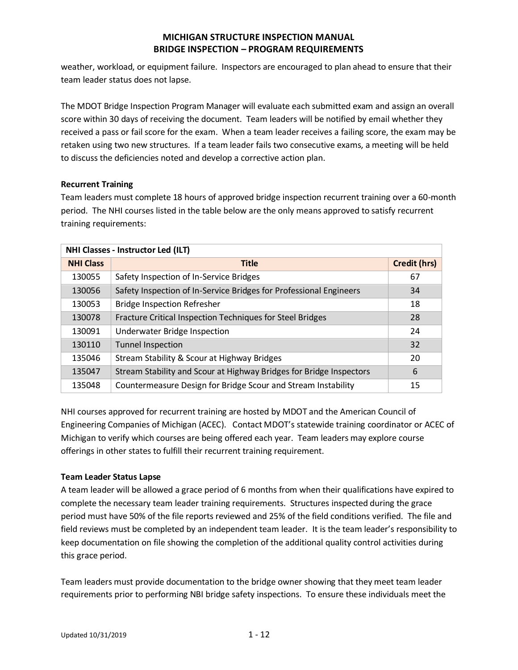weather, workload, or equipment failure. Inspectors are encouraged to plan ahead to ensure that their team leader status does not lapse.

The MDOT Bridge Inspection Program Manager will evaluate each submitted exam and assign an overall score within 30 days of receiving the document. Team leaders will be notified by email whether they received a pass or fail score for the exam. When a team leader receives a failing score, the exam may be retaken using two new structures. If a team leader fails two consecutive exams, a meeting will be held to discuss the deficiencies noted and develop a corrective action plan.

## **Recurrent Training**

Team leaders must complete 18 hours of approved bridge inspection recurrent training over a 60-month period. The NHI courses listed in the table below are the only means approved to satisfy recurrent training requirements:

| <b>NHI Classes - Instructor Led (ILT)</b> |                                                                     |                     |
|-------------------------------------------|---------------------------------------------------------------------|---------------------|
| <b>NHI Class</b>                          | <b>Title</b>                                                        | <b>Credit (hrs)</b> |
| 130055                                    | Safety Inspection of In-Service Bridges                             | 67                  |
| 130056                                    | Safety Inspection of In-Service Bridges for Professional Engineers  | 34                  |
| 130053                                    | <b>Bridge Inspection Refresher</b>                                  | 18                  |
| 130078                                    | Fracture Critical Inspection Techniques for Steel Bridges           | 28                  |
| 130091                                    | Underwater Bridge Inspection                                        | 24                  |
| 130110                                    | <b>Tunnel Inspection</b>                                            | 32                  |
| 135046                                    | Stream Stability & Scour at Highway Bridges                         | 20                  |
| 135047                                    | Stream Stability and Scour at Highway Bridges for Bridge Inspectors | 6                   |
| 135048                                    | Countermeasure Design for Bridge Scour and Stream Instability       | 15                  |

NHI courses approved for recurrent training are hosted by MDOT and the American Council of Engineering Companies of Michigan (ACEC). Contact MDOT's statewide training coordinator or ACEC of Michigan to verify which courses are being offered each year. Team leaders may explore course offerings in other states to fulfill their recurrent training requirement.

## **Team Leader Status Lapse**

A team leader will be allowed a grace period of 6 months from when their qualifications have expired to complete the necessary team leader training requirements. Structures inspected during the grace period must have 50% of the file reports reviewed and 25% of the field conditions verified. The file and field reviews must be completed by an independent team leader. It is the team leader's responsibility to keep documentation on file showing the completion of the additional quality control activities during this grace period.

Team leaders must provide documentation to the bridge owner showing that they meet team leader requirements prior to performing NBI bridge safety inspections. To ensure these individuals meet the